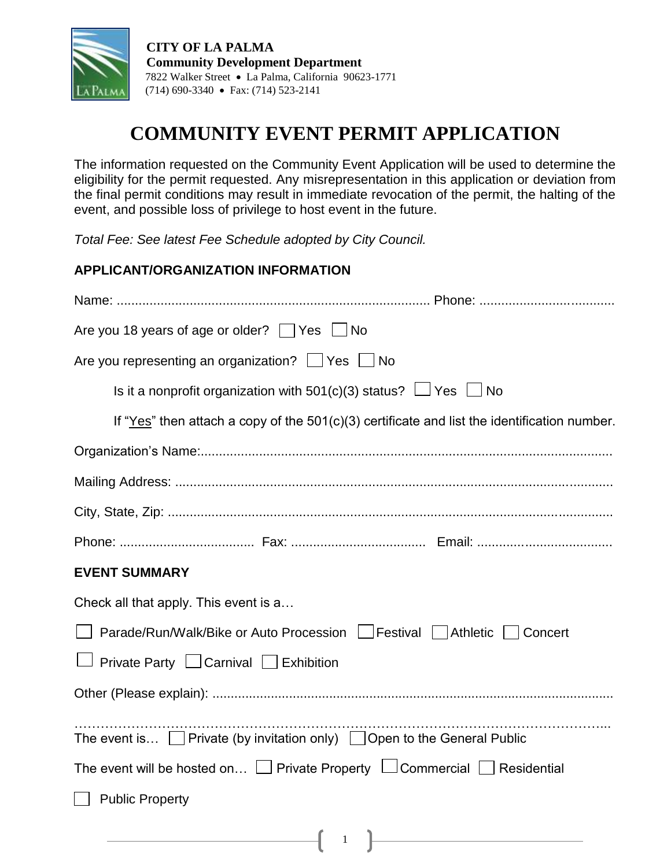

 **CITY OF LA PALMA Community Development Department** 7822 Walker Street La Palma, California 90623-1771 (714) 690-3340 Fax: (714) 523-2141

# **COMMUNITY EVENT PERMIT APPLICATION**

The information requested on the Community Event Application will be used to determine the eligibility for the permit requested. Any misrepresentation in this application or deviation from the final permit conditions may result in immediate revocation of the permit, the halting of the event, and possible loss of privilege to host event in the future.

*Total Fee: See latest Fee Schedule adopted by City Council.* 

#### **APPLICANT/ORGANIZATION INFORMATION**

| Are you 18 years of age or older? $\Box$ Yes $\Box$ No                                                              |
|---------------------------------------------------------------------------------------------------------------------|
| Are you representing an organization? Ves No                                                                        |
| Is it a nonprofit organization with 501(c)(3) status? $\Box$ Yes $\Box$ No                                          |
| If "Yes" then attach a copy of the $501(c)(3)$ certificate and list the identification number.                      |
|                                                                                                                     |
|                                                                                                                     |
|                                                                                                                     |
|                                                                                                                     |
| <b>EVENT SUMMARY</b>                                                                                                |
| Check all that apply. This event is a                                                                               |
| □ Parade/Run/Walk/Bike or Auto Procession □ Festival □ Athletic □ Concert                                           |
| Private Party $\Box$ Carnival $\Box$ Exhibition                                                                     |
|                                                                                                                     |
| The event is $\Box$ Private (by invitation only) $\Box$ Open to the General Public                                  |
| The event will be hosted on $\Box$ Private Property $\Box$ Commercial $\Box$ Residential                            |
| <b>Public Property</b>                                                                                              |
| $\begin{array}{c c} \hline \end{array}$ $\begin{array}{c} \hline \end{array}$ $\begin{array}{c} \hline \end{array}$ |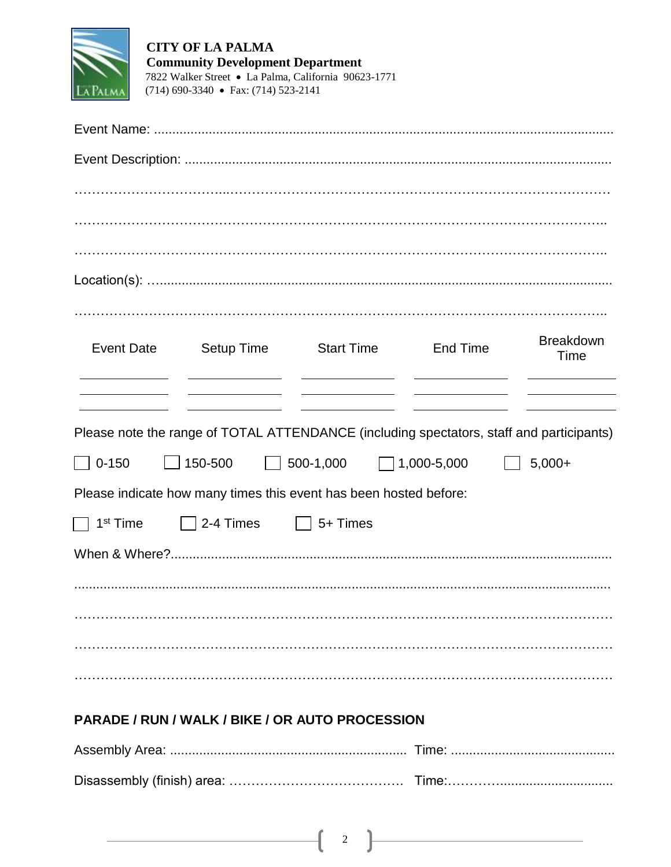

**CITY OF LA PALMA Community Development Department** 7822 Walker Street • La Palma, California 90623-1771  $(714)$  690-3340 • Fax:  $(714)$  523-2141

| <b>Event Date</b>                        | Setup Time<br><u> 1989 - Johann Barn, amerikansk politiker (</u> | <b>Start Time</b>                                                                                                       | <b>End Time</b>    | <b>Breakdown</b><br>Time |
|------------------------------------------|------------------------------------------------------------------|-------------------------------------------------------------------------------------------------------------------------|--------------------|--------------------------|
|                                          |                                                                  | <u> Alexandro Alexandro Alexandro Alexandro Alexandro Alexandro Alexandro Alexandro Alexandro Alexandro Alexandro A</u> |                    |                          |
| $0 - 150$<br>$\Box$<br>$\vert \ \ \vert$ | 150-500                                                          | Please note the range of TOTAL ATTENDANCE (including spectators, staff and participants)<br>$\Box$ 500-1,000            | $\Box$ 1,000-5,000 | $5,000+$                 |
|                                          |                                                                  | Please indicate how many times this event has been hosted before:                                                       |                    |                          |
| 1 <sup>st</sup> Time                     | 2-4 Times   5+ Times                                             |                                                                                                                         |                    |                          |
|                                          |                                                                  |                                                                                                                         |                    |                          |
|                                          |                                                                  |                                                                                                                         |                    |                          |
|                                          |                                                                  |                                                                                                                         |                    |                          |
|                                          |                                                                  |                                                                                                                         |                    |                          |
|                                          |                                                                  |                                                                                                                         |                    |                          |

## PARADE / RUN / WALK / BIKE / OR AUTO PROCESSION

 $\overline{2}$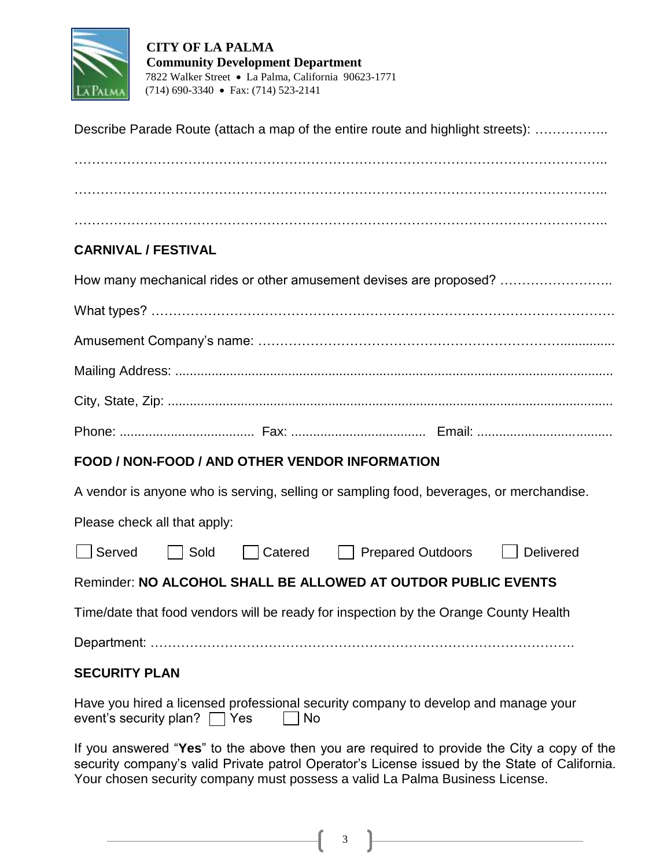

#### **CITY OF LA PALMA Community Development Department** 7822 Walker Street La Palma, California 90623-1771 (714) 690-3340 Fax: (714) 523-2141

| Describe Parade Route (attach a map of the entire route and highlight streets):                                               |
|-------------------------------------------------------------------------------------------------------------------------------|
|                                                                                                                               |
| <b>CARNIVAL / FESTIVAL</b>                                                                                                    |
| How many mechanical rides or other amusement devises are proposed?                                                            |
|                                                                                                                               |
|                                                                                                                               |
|                                                                                                                               |
|                                                                                                                               |
|                                                                                                                               |
| FOOD / NON-FOOD / AND OTHER VENDOR INFORMATION                                                                                |
| A vendor is anyone who is serving, selling or sampling food, beverages, or merchandise.                                       |
| Please check all that apply:                                                                                                  |
| Served Sold Catered Prepared Outdoors Delivered                                                                               |
| Reminder: NO ALCOHOL SHALL BE ALLOWED AT OUTDOR PUBLIC EVENTS                                                                 |
| Time/date that food vendors will be ready for inspection by the Orange County Health                                          |
|                                                                                                                               |
| <b>SECURITY PLAN</b>                                                                                                          |
| Have you hired a licensed professional security company to develop and manage your<br>event's security plan? $\Box$ Yes<br>No |
| If you answered "Yes" to the above then you are required to provide the City a copy of the                                    |

security company's valid Private patrol Operator's License issued by the State of California. Your chosen security company must possess a valid La Palma Business License.

3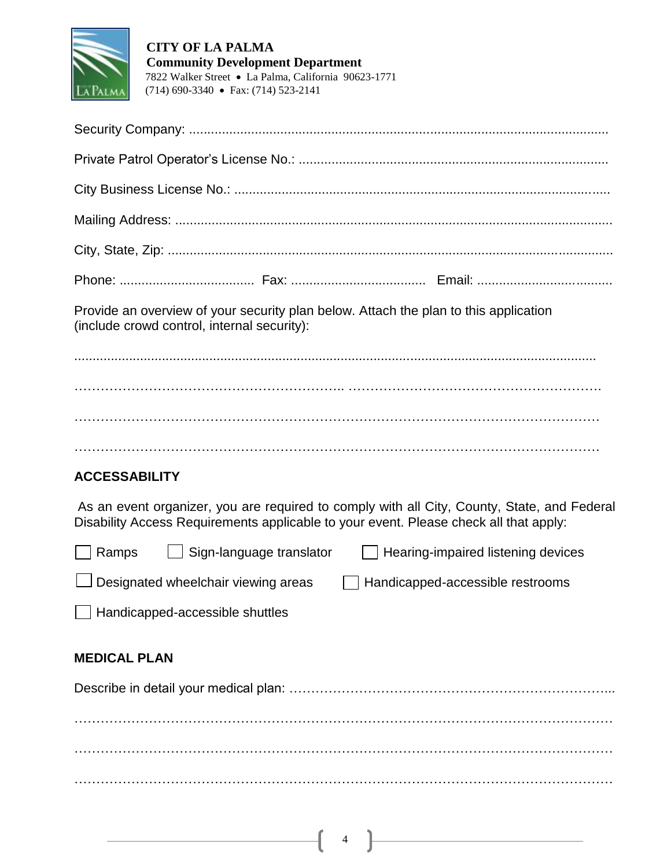

Provide an overview of your security plan below. Attach the plan to this application (include crowd control, internal security):

............................................................................................................................................... …………………………………………………….. …………………………………………………. ………………………………………………………………………………………………………… …………………………………………………………………………………………………………

# **ACCESSABILITY**

As an event organizer, you are required to comply with all City, County, State, and Federal Disability Access Requirements applicable to your event. Please check all that apply:

| $\Box$ Ramps | $\Box$ Sign-language translator            | $\Box$ Hearing-impaired listening devices |
|--------------|--------------------------------------------|-------------------------------------------|
|              | $\Box$ Designated wheelchair viewing areas | $\Box$ Handicapped-accessible restrooms   |
|              | Handicapped-accessible shuttles            |                                           |

#### **MEDICAL PLAN**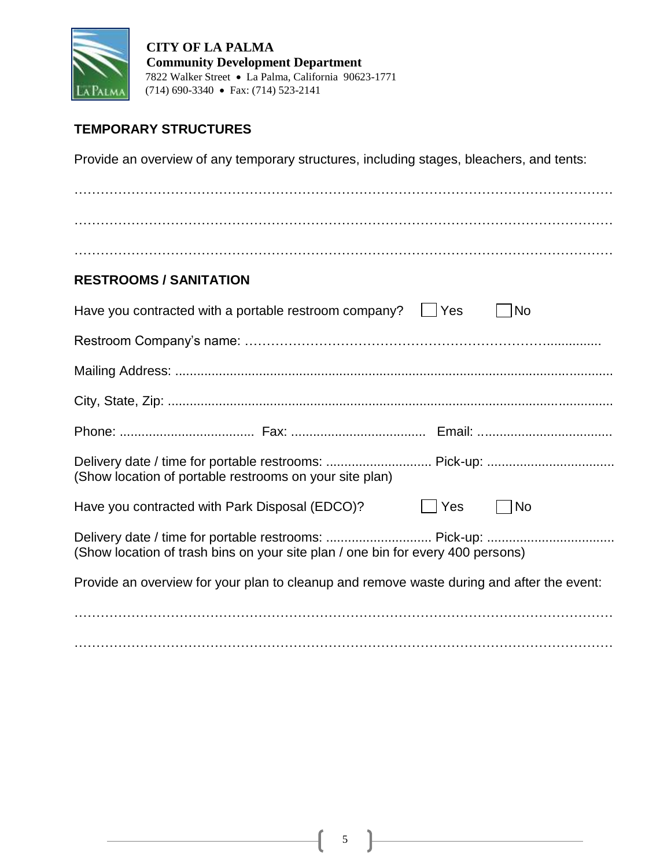

 **CITY OF LA PALMA Community Development Department** 7822 Walker Street La Palma, California 90623-1771 PALMA (714) 690-3340 • Fax: (714) 523-2141

### **TEMPORARY STRUCTURES**

Provide an overview of any temporary structures, including stages, bleachers, and tents:

| <b>RESTROOMS / SANITATION</b>                                                             |     |           |
|-------------------------------------------------------------------------------------------|-----|-----------|
| Have you contracted with a portable restroom company? $\Box$ Yes                          |     | No        |
|                                                                                           |     |           |
|                                                                                           |     |           |
|                                                                                           |     |           |
|                                                                                           |     |           |
|                                                                                           |     |           |
| (Show location of portable restrooms on your site plan)                                   |     |           |
| Have you contracted with Park Disposal (EDCO)?                                            | Yes | <b>No</b> |
| (Show location of trash bins on your site plan / one bin for every 400 persons)           |     |           |
| Provide an overview for your plan to cleanup and remove waste during and after the event: |     |           |